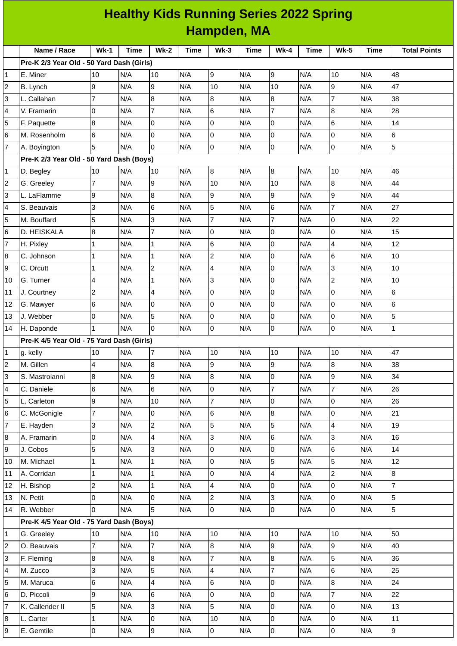| <b>Healthy Kids Running Series 2022 Spring</b> |                                           |                |             |                 |             |                 |             |                |      |                  |      |                     |
|------------------------------------------------|-------------------------------------------|----------------|-------------|-----------------|-------------|-----------------|-------------|----------------|------|------------------|------|---------------------|
|                                                | Hampden, MA                               |                |             |                 |             |                 |             |                |      |                  |      |                     |
|                                                | Name / Race                               | $Wk-1$         | <b>Time</b> | $Wk-2$          | <b>Time</b> | $Wk-3$          | <b>Time</b> | $Wk-4$         | Time | $Wk-5$           | Time | <b>Total Points</b> |
|                                                | Pre-K 2/3 Year Old - 50 Yard Dash (Girls) |                |             |                 |             |                 |             |                |      |                  |      |                     |
| $\mathbf{1}$                                   | E. Miner                                  | 10             | N/A         | 10              | N/A         | 9               | N/A         | 9              | N/A  | 10               | N/A  | 48                  |
| $\overline{c}$                                 | B. Lynch                                  | 9              | N/A         | 9               | N/A         | 10              | N/A         | 10             | N/A  | 9                | N/A  | 47                  |
| 3                                              | L. Callahan                               | $\overline{7}$ | N/A         | 8               | N/A         | 8               | N/A         | 8              | N/A  | $\overline{7}$   | N/A  | 38                  |
| 4                                              | V. Framarin                               | 0              | N/A         | $\overline{7}$  | N/A         | $6\phantom{.}6$ | N/A         | $\overline{7}$ | N/A  | $\boldsymbol{8}$ | N/A  | 28                  |
| 5                                              | F. Paquette                               | 8              | N/A         | 0               | N/A         | 0               | N/A         | 0              | N/A  | 6                | N/A  | 14                  |
| 6                                              | M. Rosenholm                              | 6              | N/A         | $\overline{0}$  | N/A         | $\mathsf{O}$    | N/A         | l0             | N/A  | 0                | N/A  | 6                   |
| $\overline{7}$                                 | A. Boyington                              | 5              | N/A         | $\overline{0}$  | N/A         | 0               | N/A         | 0              | N/A  | 0                | N/A  | 5                   |
|                                                | Pre-K 2/3 Year Old - 50 Yard Dash (Boys)  |                |             |                 |             |                 |             |                |      |                  |      |                     |
| $\mathbf{1}$                                   | D. Begley                                 | 10             | N/A         | 10              | N/A         | 8               | N/A         | 8              | N/A  | 10               | N/A  | 46                  |
| $\overline{c}$                                 | G. Greeley                                | 7              | N/A         | 9               | N/A         | 10              | N/A         | 10             | N/A  | $\boldsymbol{8}$ | N/A  | 44                  |
| 3                                              | L. LaFlamme                               | 9              | N/A         | 8               | N/A         | 9               | N/A         | 9              | N/A  | 9                | N/A  | 44                  |
| 4                                              | S. Beauvais                               | 3              | N/A         | 6               | N/A         | 5               | N/A         | 6              | N/A  | $\overline{7}$   | N/A  | 27                  |
| 5                                              | M. Bouffard                               | 5              | N/A         | 3               | N/A         | $\overline{7}$  | N/A         | 7              | N/A  | 0                | N/A  | 22                  |
| 6                                              | D. HEISKALA                               | $\bf{8}$       | N/A         | $\overline{7}$  | N/A         | $\mathsf{O}$    | N/A         | O              | N/A  | 0                | N/A  | 15                  |
| $\overline{7}$                                 | H. Pixley                                 | 1              | N/A         | $\mathbf{1}$    | N/A         | 6               | N/A         | 0              | N/A  | 4                | N/A  | 12                  |
| 8                                              | C. Johnson                                | 1              | N/A         | $\mathbf{1}$    | N/A         | $\overline{c}$  | N/A         | 0              | N/A  | 6                | N/A  | 10                  |
| 9                                              | C. Orcutt                                 | 1              | N/A         | $\overline{c}$  | N/A         | $\overline{a}$  | N/A         | Iо             | N/A  | 3                | N/A  | 10                  |
| 10                                             | G. Turner                                 | 4              | N/A         | $\mathbf{1}$    | N/A         | IЗ              | N/A         | 0              | N/A  | $\overline{c}$   | N/A  | 10                  |
| 11                                             | J. Courtney                               | $\overline{c}$ | N/A         | 4               | N/A         | 0               | N/A         | 0              | N/A  | 0                | N/A  | 6                   |
| 12                                             | G. Mawyer                                 | 6              | N/A         | 0               | N/A         | $\overline{0}$  | N/A         | 0              | N/A  | 0                | N/A  | 6                   |
| 13                                             | J. Webber                                 | 0              | N/A         | 5               | N/A         | 0               | N/A         | 0              | N/A  | 0                | N/A  | 5                   |
| 14                                             | H. Daponde                                | $\mathbf{1}$   | N/A         | $\overline{0}$  | N/A         | 0               | N/A         | l0             | N/A  | 0                | N/A  | $\mathbf 1$         |
|                                                | Pre-K 4/5 Year Old - 75 Yard Dash (Girls) |                |             |                 |             |                 |             |                |      |                  |      |                     |
| 1                                              | g. kelly                                  | 10             | N/A         | 7               | N/A         | 10              | N/A         | 10             | N/A  | 10               | N/A  | 47                  |
| $\overline{\mathbf{c}}$                        | M. Gillen                                 | 4              | N/A         | 8               | N/A         | 9               | N/A         | 9              | N/A  | 8                | N/A  | 38                  |
| 3                                              | S. Mastroianni                            | 8              | N/A         | 9               | N/A         | 8               | N/A         | 0              | N/A  | 9                | N/A  | 34                  |
| 4                                              | C. Daniele                                | 6              | N/A         | $6\overline{6}$ | N/A         | $\overline{0}$  | N/A         | $\overline{7}$ | N/A  | $\overline{7}$   | N/A  | 26                  |
| 5                                              | L. Carleton                               | 9              | N/A         | 10              | N/A         | $\overline{7}$  | N/A         | 0              | N/A  | 0                | N/A  | 26                  |
| 6                                              | C. McGonigle                              | 7              | N/A         | 0               | N/A         | 6               | N/A         | 8              | N/A  | 0                | N/A  | 21                  |
| $\overline{7}$                                 | E. Hayden                                 | 3              | N/A         | $\overline{2}$  | N/A         | 5               | N/A         | 5              | N/A  | 4                | N/A  | 19                  |
| 8                                              | A. Framarin                               | 0              | N/A         | $\overline{4}$  | N/A         | $\overline{3}$  | N/A         | 6              | N/A  | 3                | N/A  | 16                  |
| 9                                              | J. Cobos                                  | 5              | N/A         | $\overline{3}$  | N/A         | 0               | N/A         | 0              | N/A  | 6                | N/A  | 14                  |
| 10                                             | M. Michael                                | 1              | N/A         | $\mathbf{1}$    | N/A         | $\overline{0}$  | N/A         | 5              | N/A  | 5                | N/A  | 12                  |
| $11\,$                                         | A. Corridan                               | 1              | N/A         | $\mathbf{1}$    | N/A         | $\overline{0}$  | N/A         | $\overline{4}$ | N/A  | $\overline{c}$   | N/A  | 8                   |
| 12                                             | H. Bishop                                 | 2              | N/A         | $\overline{1}$  | N/A         | $\overline{4}$  | N/A         | l0             | N/A  | 0                | N/A  | $\overline{7}$      |
| 13                                             | N. Petit                                  | 0              | N/A         | 0               | N/A         | $\overline{2}$  | N/A         | 3              | N/A  | 0                | N/A  | 5                   |
| 14                                             | R. Webber                                 | 0              | N/A         | 5               | N/A         | $\overline{0}$  | N/A         | l0             | N/A  | 0                | N/A  | 5                   |
|                                                | Pre-K 4/5 Year Old - 75 Yard Dash (Boys)  |                |             |                 |             |                 |             |                |      |                  |      |                     |
| $\mathbf{1}$                                   | G. Greeley                                | 10             | N/A         | 10              | N/A         | 10              | N/A         | 10             | N/A  | 10               | N/A  | 50                  |
| $\overline{\mathbf{c}}$                        | O. Beauvais                               | 7              | N/A         | $\overline{7}$  | N/A         | 8               | N/A         | 9              | N/A  | 9                | N/A  | 40                  |
| 3                                              | F. Fleming                                | 8              | N/A         | $\bf{8}$        | N/A         | $\overline{7}$  | N/A         | $\overline{8}$ | N/A  | 5                | N/A  | 36                  |
| 4                                              | M. Zucco                                  | 3              | N/A         | 5               | N/A         | $\overline{4}$  | N/A         | $\overline{7}$ | N/A  | 6                | N/A  | 25                  |
| 5                                              | M. Maruca                                 | 6              | N/A         | $\overline{4}$  | N/A         | $6\phantom{.}$  | N/A         | 0              | N/A  | 8                | N/A  | 24                  |
| 6                                              | D. Piccoli                                | 9              | N/A         | $6\phantom{.}$  | N/A         | $\overline{0}$  | N/A         | l0             | N/A  | $\overline{7}$   | N/A  | 22                  |
| 7                                              | K. Callender II                           | 5              | N/A         | $\overline{3}$  | N/A         | 5               | N/A         | l0             | N/A  | 0                | N/A  | 13                  |
| 8                                              | L. Carter                                 | 1              | N/A         | $\pmb{0}$       | N/A         | 10              | N/A         | 0              | N/A  | 0                | N/A  | $11\,$              |
| 9                                              | E. Gemtile                                | 0              | N/A         | $\overline{9}$  | N/A         | $\overline{0}$  | N/A         | 0              | N/A  | $\mathsf 0$      | N/A  | 9                   |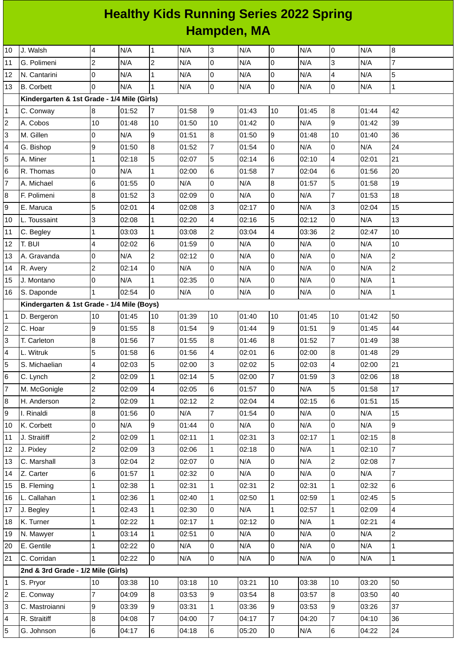## **Healthy Kids Running Series 2022 Spring Hampden, MA**

| 10                      | J. Walsh                                    | 4              | N/A   | $\mathbf{1}$            | N/A   | $\overline{3}$  | N/A   | 0              | N/A   | 0                | N/A   | $\boldsymbol{8}$ |
|-------------------------|---------------------------------------------|----------------|-------|-------------------------|-------|-----------------|-------|----------------|-------|------------------|-------|------------------|
| 11                      | G. Polimeni                                 | 2              | N/A   | $\overline{\mathbf{c}}$ | N/A   | $\overline{0}$  | N/A   | 0              | N/A   | 3                | N/A   | $\overline{7}$   |
| 12                      | N. Cantarini                                | $\overline{0}$ | N/A   | $\mathbf 1$             | N/A   | $\overline{0}$  | N/A   | 0              | N/A   | 4                | N/A   | 5                |
| 13                      | <b>B.</b> Corbett                           | $\overline{0}$ | N/A   | $\mathbf{1}$            | N/A   | $\overline{0}$  | N/A   | 0              | N/A   | 0                | N/A   | $\mathbf 1$      |
|                         | Kindergarten & 1st Grade - 1/4 Mile (Girls) |                |       |                         |       |                 |       |                |       |                  |       |                  |
| 1                       | C. Conway                                   | 8              | 01:52 | 7                       | 01:58 | 9               | 01:43 | 10             | 01:45 | $\bf 8$          | 01:44 | 42               |
| $\overline{\mathbf{c}}$ | A. Cobos                                    | 10             | 01:48 | 10                      | 01:50 | 10              | 01:42 | 0              | N/A   | 9                | 01:42 | 39               |
| 3                       | M. Gillen                                   | 0              | N/A   | 9                       | 01:51 | $\overline{8}$  | 01:50 | 9              | 01:48 | 10               | 01:40 | 36               |
| 4                       | G. Bishop                                   | 9              | 01:50 | $\bf{8}$                | 01:52 | $\overline{7}$  | 01:54 | 0              | N/A   | 0                | N/A   | 24               |
| 5                       | A. Miner                                    | 1              | 02:18 | 5                       | 02:07 | 5               | 02:14 | 6              | 02:10 | 4                | 02:01 | 21               |
| 6                       | R. Thomas                                   | 0              | N/A   | $\mathbf{1}$            | 02:00 | $6\phantom{.}6$ | 01:58 | $\overline{7}$ | 02:04 | 6                | 01:56 | 20               |
| 7                       | A. Michael                                  | 6              | 01:55 | 0                       | N/A   | 0               | N/A   | 8              | 01:57 | 5                | 01:58 | 19               |
| 8                       | F. Polimeni                                 | 8              | 01:52 | 3                       | 02:09 | $\overline{0}$  | N/A   | 0              | N/A   | $\overline{7}$   | 01:53 | 18               |
| 9                       | E. Maruca                                   | 5              | 02:01 | 4                       | 02:08 | 3               | 02:17 | 0              | N/A   | 3                | 02:04 | 15               |
| 10                      | L. Toussaint                                | 3              | 02:08 | $\mathbf 1$             | 02:20 | 4               | 02:16 | 5              | 02:12 | 0                | N/A   | 13               |
| 11                      | C. Begley                                   | 1              | 03:03 | $\mathbf 1$             | 03:08 | $\overline{c}$  | 03:04 | 4              | 03:36 | $\mathbf{2}$     | 02:47 | 10               |
| 12                      | T. BUI                                      | 4              | 02:02 | $\,6$                   | 01:59 | $\overline{0}$  | N/A   | 0              | N/A   | 0                | N/A   | 10               |
| 13                      | A. Gravanda                                 | 0              | N/A   | $\overline{c}$          | 02:12 | 0               | N/A   | 0              | N/A   | 0                | N/A   | $\overline{c}$   |
| 14                      | R. Avery                                    | $\overline{c}$ | 02:14 | 0                       | N/A   | 0               | N/A   | 0              | N/A   | 0                | N/A   | $\overline{c}$   |
| 15                      | J. Montano                                  | 0              | N/A   | $\mathbf 1$             | 02:35 | $\overline{0}$  | N/A   | 0              | N/A   | 0                | N/A   | $\mathbf 1$      |
| 16                      | S. Daponde                                  | 1              | 02:54 | 0                       | N/A   | $\overline{0}$  | N/A   | 0              | N/A   | 0                | N/A   | $\mathbf{1}$     |
|                         | Kindergarten & 1st Grade - 1/4 Mile (Boys)  |                |       |                         |       |                 |       |                |       |                  |       |                  |
| 1                       | D. Bergeron                                 | 10             | 01:45 | 10                      | 01:39 | 10              | 01:40 | 10             | 01:45 | 10               | 01:42 | 50               |
| $\overline{\mathbf{c}}$ | C. Hoar                                     | 9              | 01:55 | 8                       | 01:54 | 9               | 01:44 | 9              | 01:51 | 9                | 01:45 | 44               |
| 3                       | T. Carleton                                 | 8              | 01:56 | $\overline{7}$          | 01:55 | $\overline{8}$  | 01:46 | $\bf{8}$       | 01:52 | $\overline{7}$   | 01:49 | 38               |
| 4                       | L. Witruk                                   | 5              | 01:58 | 6                       | 01:56 | 4               | 02:01 | 6              | 02:00 | 8                | 01:48 | 29               |
| 5                       | S. Michaelian                               | 4              | 02:03 | 5                       | 02:00 | 3               | 02:02 | 5              | 02:03 | 4                | 02:00 | 21               |
| 6                       | C. Lynch                                    | 2              | 02:09 | $\mathbf 1$             | 02:14 | 5               | 02:00 | 7              | 01:59 | 3                | 02:06 | 18               |
| 7                       | M. McGonigle                                | $\overline{c}$ | 02:09 | 4                       | 02:05 | $6\phantom{.}6$ | 01:57 | 0              | N/A   | 5                | 01:58 | 17               |
| 8                       | H. Anderson                                 | $\overline{c}$ | 02:09 | $\mathbf 1$             | 02:12 | $\overline{2}$  | 02:04 | $\overline{4}$ | 02:15 | 6                | 01:51 | 15               |
| 9                       | I. Rinaldi                                  | 8              | 01:56 | 0                       | N/A   | $\overline{7}$  | 01:54 | 0              | N/A   | 0                | N/A   | 15               |
| 10                      | K. Corbett                                  | 0              | N/A   | 9                       | 01:44 | $\overline{0}$  | N/A   | 0              | N/A   | 0                | N/A   | 9                |
| 11                      | J. Straitiff                                | $\overline{c}$ | 02:09 | $\mathbf{1}$            | 02:11 | $\overline{1}$  | 02:31 | 3              | 02:17 | $\mathbf 1$      | 02:15 | 8                |
| 12                      | J. Pixley                                   | 2              | 02:09 | 3                       | 02:06 | $\mathbf{1}$    | 02:18 | 0              | N/A   | $\mathbf 1$      | 02:10 | $\overline{7}$   |
| 13                      | C. Marshall                                 | 3              | 02:04 | $\overline{c}$          | 02:07 | $\overline{0}$  | N/A   | 0              | N/A   | $\overline{c}$   | 02:08 | $\overline{7}$   |
| 14                      | Z. Carter                                   | 6              | 01:57 | $\mathbf{1}$            | 02:32 | O               | N/A   | 0              | N/A   | 0                | N/A   | 7                |
| 15                      | <b>B.</b> Fleming                           | 1              | 02:38 | $\mathbf{1}$            | 02:31 | $\mathbf{1}$    | 02:31 | 2              | 02:31 | $\mathbf{1}$     | 02:32 | 6                |
| 16                      | L. Callahan                                 | $\mathbf 1$    | 02:36 | $\mathbf{1}$            | 02:40 | $\mathbf{1}$    | 02:50 | $\mathbf{1}$   | 02:59 | $\mathbf{1}$     | 02:45 | 5                |
| 17                      | J. Begley                                   | $\mathbf{1}$   | 02:43 | $\mathbf{1}$            | 02:30 | O               | N/A   | $\mathbf 1$    | 02:57 | $\mathbf{1}$     | 02:09 | 4                |
| 18                      | K. Turner                                   | $\mathbf{1}$   | 02:22 | $\mathbf 1$             | 02:17 | $\mathbf{1}$    | 02:12 | 0              | N/A   | $\mathbf{1}$     | 02:21 | 4                |
| 19                      | N. Mawyer                                   | $\mathbf{1}$   | 03:14 | $\mathbf 1$             | 02:51 | 0               | N/A   | 0              | N/A   | 0                | N/A   | $\overline{c}$   |
| 20                      | E. Gentile                                  | $\mathbf{1}$   | 02:22 | 0                       | N/A   | 0               | N/A   | 0              | N/A   | 0                | N/A   | 1                |
| 21                      | C. Corridan                                 | $\mathbf{1}$   | 02:22 | 0                       | N/A   | 0               | N/A   | 0              | N/A   | 0                | N/A   | $\mathbf 1$      |
|                         | 2nd & 3rd Grade - 1/2 Mile (Girls)          |                |       |                         |       |                 |       |                |       |                  |       |                  |
| 1                       | S. Pryor                                    | 10             | 03:38 | 10                      | 03:18 | 10              | 03:21 | 10             | 03:38 | $10\,$           | 03:20 | 50               |
| 2                       | E. Conway                                   | $\overline{7}$ | 04:09 | 8                       | 03:53 | 9               | 03:54 | 8              | 03:57 | $\boldsymbol{8}$ | 03:50 | 40               |
| 3                       | C. Mastroianni                              | 9              | 03:39 | $\overline{9}$          | 03:31 | $\mathbf{1}$    | 03:36 | 9              | 03:53 | 9                | 03:26 | 37               |
| 4                       | R. Straitiff                                | 8              | 04:08 | $\overline{7}$          | 04:00 | $\overline{7}$  | 04:17 | $\overline{7}$ | 04:20 | $\overline{7}$   | 04:10 | 36               |
| 5                       | G. Johnson                                  | 6              | 04:17 | $\,6$                   | 04:18 | $6\phantom{.}$  | 05:20 | 0              | N/A   | 6                | 04:22 | 24               |
|                         |                                             |                |       |                         |       |                 |       |                |       |                  |       |                  |